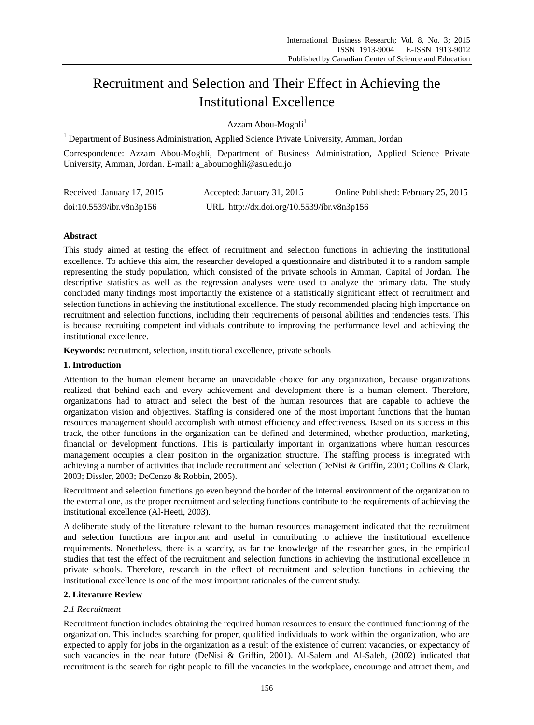# Recruitment and Selection and Their Effect in Achieving the Institutional Excellence

Azzam Abou-Moghli<sup>1</sup>

<sup>1</sup> Department of Business Administration, Applied Science Private University, Amman, Jordan

Correspondence: Azzam Abou-Moghli, Department of Business Administration, Applied Science Private University, Amman, Jordan. E-mail: a\_aboumoghli@asu.edu.jo

| Received: January 17, 2015 | Accepted: January 31, 2015                  | Online Published: February 25, 2015 |
|----------------------------|---------------------------------------------|-------------------------------------|
| doi:10.5539/ibr.v8n3p156   | URL: http://dx.doi.org/10.5539/ibr.v8n3p156 |                                     |

# **Abstract**

This study aimed at testing the effect of recruitment and selection functions in achieving the institutional excellence. To achieve this aim, the researcher developed a questionnaire and distributed it to a random sample representing the study population, which consisted of the private schools in Amman, Capital of Jordan. The descriptive statistics as well as the regression analyses were used to analyze the primary data. The study concluded many findings most importantly the existence of a statistically significant effect of recruitment and selection functions in achieving the institutional excellence. The study recommended placing high importance on recruitment and selection functions, including their requirements of personal abilities and tendencies tests. This is because recruiting competent individuals contribute to improving the performance level and achieving the institutional excellence.

**Keywords:** recruitment, selection, institutional excellence, private schools

## **1. Introduction**

Attention to the human element became an unavoidable choice for any organization, because organizations realized that behind each and every achievement and development there is a human element. Therefore, organizations had to attract and select the best of the human resources that are capable to achieve the organization vision and objectives. Staffing is considered one of the most important functions that the human resources management should accomplish with utmost efficiency and effectiveness. Based on its success in this track, the other functions in the organization can be defined and determined, whether production, marketing, financial or development functions. This is particularly important in organizations where human resources management occupies a clear position in the organization structure. The staffing process is integrated with achieving a number of activities that include recruitment and selection (DeNisi & Griffin, 2001; Collins & Clark, 2003; Dissler, 2003; DeCenzo & Robbin, 2005).

Recruitment and selection functions go even beyond the border of the internal environment of the organization to the external one, as the proper recruitment and selecting functions contribute to the requirements of achieving the institutional excellence (Al-Heeti, 2003).

A deliberate study of the literature relevant to the human resources management indicated that the recruitment and selection functions are important and useful in contributing to achieve the institutional excellence requirements. Nonetheless, there is a scarcity, as far the knowledge of the researcher goes, in the empirical studies that test the effect of the recruitment and selection functions in achieving the institutional excellence in private schools. Therefore, research in the effect of recruitment and selection functions in achieving the institutional excellence is one of the most important rationales of the current study.

## **2. Literature Review**

## *2.1 Recruitment*

Recruitment function includes obtaining the required human resources to ensure the continued functioning of the organization. This includes searching for proper, qualified individuals to work within the organization, who are expected to apply for jobs in the organization as a result of the existence of current vacancies, or expectancy of such vacancies in the near future (DeNisi & Griffin, 2001). Al-Salem and Al-Saleh, (2002) indicated that recruitment is the search for right people to fill the vacancies in the workplace, encourage and attract them, and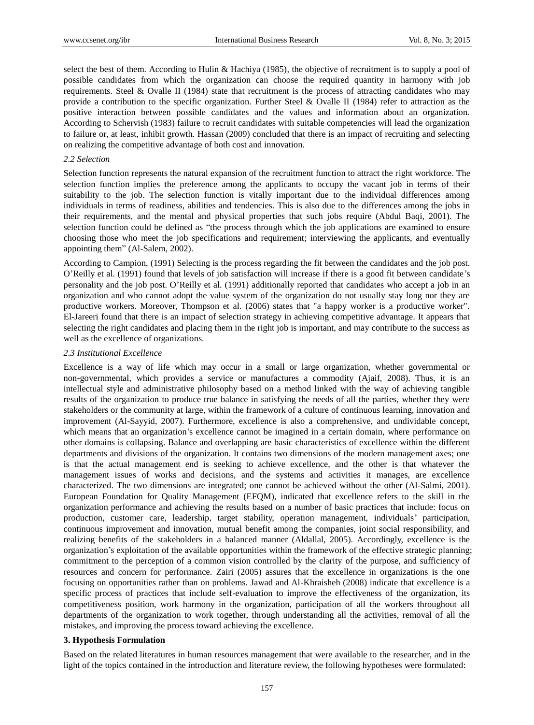select the best of them. According to Hulin & Hachiya (1985), the objective of recruitment is to supply a pool of possible candidates from which the organization can choose the required quantity in harmony with job requirements. Steel & Ovalle II (1984) state that recruitment is the process of attracting candidates who may provide a contribution to the specific organization. Further Steel & Ovalle II (1984) refer to attraction as the positive interaction between possible candidates and the values and information about an organization. According to Schervish (1983) failure to recruit candidates with suitable competencies will lead the organization to failure or, at least, inhibit growth. Hassan (2009) concluded that there is an impact of recruiting and selecting on realizing the competitive advantage of both cost and innovation.

#### *2.2 Selection*

Selection function represents the natural expansion of the recruitment function to attract the right workforce. The selection function implies the preference among the applicants to occupy the vacant job in terms of their suitability to the job. The selection function is vitally important due to the individual differences among individuals in terms of readiness, abilities and tendencies. This is also due to the differences among the jobs in their requirements, and the mental and physical properties that such jobs require (Abdul Baqi, 2001). The selection function could be defined as "the process through which the job applications are examined to ensure choosing those who meet the job specifications and requirement; interviewing the applicants, and eventually appointing them" (Al-Salem, 2002).

According to Campion, (1991) Selecting is the process regarding the fit between the candidates and the job post. O'Reilly et al. (1991) found that levels of job satisfaction will increase if there is a good fit between candidate's personality and the job post. O'Reilly et al. (1991) additionally reported that candidates who accept a job in an organization and who cannot adopt the value system of the organization do not usually stay long nor they are productive workers. Moreover, Thompson et al. (2006) states that "a happy worker is a productive worker". El-Jareeri found that there is an impact of selection strategy in achieving competitive advantage. It appears that selecting the right candidates and placing them in the right job is important, and may contribute to the success as well as the excellence of organizations.

#### *2.3 Institutional Excellence*

Excellence is a way of life which may occur in a small or large organization, whether governmental or non-governmental, which provides a service or manufactures a commodity (Ajaif, 2008). Thus, it is an intellectual style and administrative philosophy based on a method linked with the way of achieving tangible results of the organization to produce true balance in satisfying the needs of all the parties, whether they were stakeholders or the community at large, within the framework of a culture of continuous learning, innovation and improvement (Al-Sayyid, 2007). Furthermore, excellence is also a comprehensive, and undividable concept, which means that an organization's excellence cannot be imagined in a certain domain, where performance on other domains is collapsing. Balance and overlapping are basic characteristics of excellence within the different departments and divisions of the organization. It contains two dimensions of the modern management axes; one is that the actual management end is seeking to achieve excellence, and the other is that whatever the management issues of works and decisions, and the systems and activities it manages, are excellence characterized. The two dimensions are integrated; one cannot be achieved without the other (Al-Salmi, 2001). European Foundation for Quality Management (EFQM), indicated that excellence refers to the skill in the organization performance and achieving the results based on a number of basic practices that include: focus on production, customer care, leadership, target stability, operation management, individuals' participation, continuous improvement and innovation, mutual benefit among the companies, joint social responsibility, and realizing benefits of the stakeholders in a balanced manner (Aldallal, 2005). Accordingly, excellence is the organization's exploitation of the available opportunities within the framework of the effective strategic planning; commitment to the perception of a common vision controlled by the clarity of the purpose, and sufficiency of resources and concern for performance. Zairi (2005) assures that the excellence in organizations is the one focusing on opportunities rather than on problems. Jawad and Al-Khraisheh (2008) indicate that excellence is a specific process of practices that include self-evaluation to improve the effectiveness of the organization, its competitiveness position, work harmony in the organization, participation of all the workers throughout all departments of the organization to work together, through understanding all the activities, removal of all the mistakes, and improving the process toward achieving the excellence.

#### **3. Hypothesis Formulation**

Based on the related literatures in human resources management that were available to the researcher, and in the light of the topics contained in the introduction and literature review, the following hypotheses were formulated: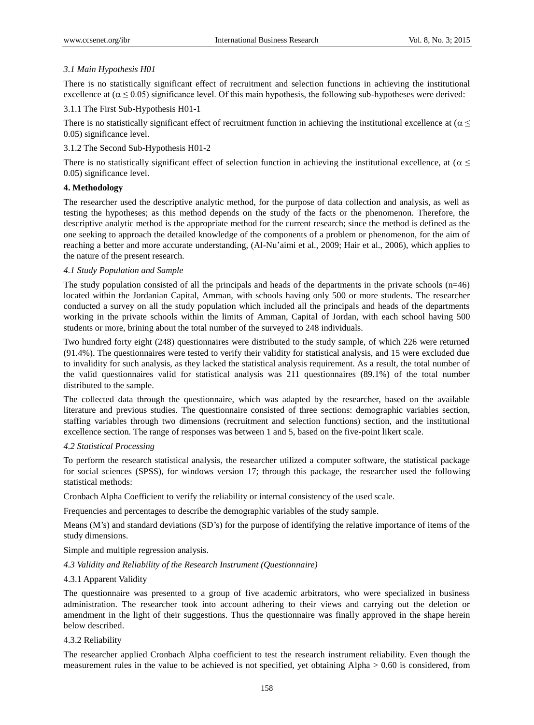# *3.1 Main Hypothesis H01*

There is no statistically significant effect of recruitment and selection functions in achieving the institutional excellence at  $(\alpha \le 0.05)$  significance level. Of this main hypothesis, the following sub-hypotheses were derived:

# 3.1.1 The First Sub-Hypothesis H01-1

There is no statistically significant effect of recruitment function in achieving the institutional excellence at ( $\alpha \leq$ 0.05) significance level.

# 3.1.2 The Second Sub-Hypothesis H01-2

There is no statistically significant effect of selection function in achieving the institutional excellence, at ( $\alpha \leq$ 0.05) significance level.

# **4. Methodology**

The researcher used the descriptive analytic method, for the purpose of data collection and analysis, as well as testing the hypotheses; as this method depends on the study of the facts or the phenomenon. Therefore, the descriptive analytic method is the appropriate method for the current research; since the method is defined as the one seeking to approach the detailed knowledge of the components of a problem or phenomenon, for the aim of reaching a better and more accurate understanding, (Al-Nu'aimi et al., 2009; Hair et al., 2006), which applies to the nature of the present research.

# *4.1 Study Population and Sample*

The study population consisted of all the principals and heads of the departments in the private schools (n=46) located within the Jordanian Capital, Amman, with schools having only 500 or more students. The researcher conducted a survey on all the study population which included all the principals and heads of the departments working in the private schools within the limits of Amman, Capital of Jordan, with each school having 500 students or more, brining about the total number of the surveyed to 248 individuals.

Two hundred forty eight (248) questionnaires were distributed to the study sample, of which 226 were returned (91.4%). The questionnaires were tested to verify their validity for statistical analysis, and 15 were excluded due to invalidity for such analysis, as they lacked the statistical analysis requirement. As a result, the total number of the valid questionnaires valid for statistical analysis was 211 questionnaires (89.1%) of the total number distributed to the sample.

The collected data through the questionnaire, which was adapted by the researcher, based on the available literature and previous studies. The questionnaire consisted of three sections: demographic variables section, staffing variables through two dimensions (recruitment and selection functions) section, and the institutional excellence section. The range of responses was between 1 and 5, based on the five-point likert scale.

# *4.2 Statistical Processing*

To perform the research statistical analysis, the researcher utilized a computer software, the statistical package for social sciences (SPSS), for windows version 17; through this package, the researcher used the following statistical methods:

Cronbach Alpha Coefficient to verify the reliability or internal consistency of the used scale.

Frequencies and percentages to describe the demographic variables of the study sample.

Means (M's) and standard deviations (SD's) for the purpose of identifying the relative importance of items of the study dimensions.

Simple and multiple regression analysis.

## *4.3 Validity and Reliability of the Research Instrument (Questionnaire)*

# 4.3.1 Apparent Validity

The questionnaire was presented to a group of five academic arbitrators, who were specialized in business administration. The researcher took into account adhering to their views and carrying out the deletion or amendment in the light of their suggestions. Thus the questionnaire was finally approved in the shape herein below described.

## 4.3.2 Reliability

The researcher applied Cronbach Alpha coefficient to test the research instrument reliability. Even though the measurement rules in the value to be achieved is not specified, yet obtaining Alpha > 0.60 is considered, from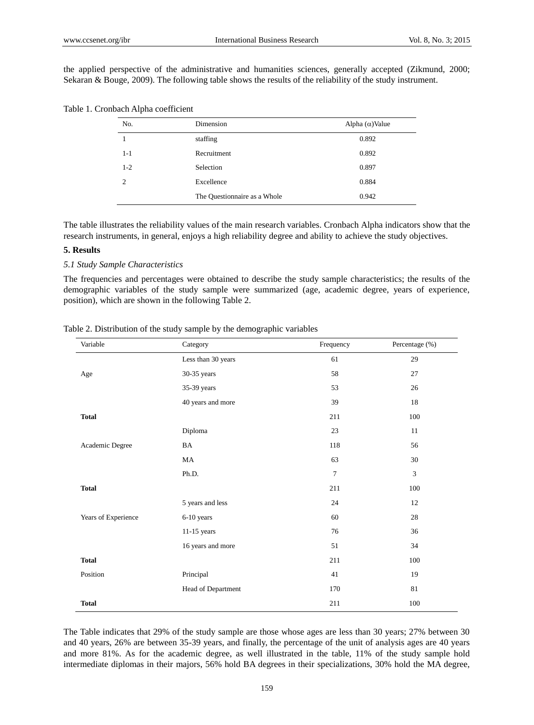the applied perspective of the administrative and humanities sciences, generally accepted (Zikmund, 2000; Sekaran & Bouge, 2009). The following table shows the results of the reliability of the study instrument.

| No.            | Dimension                    | Alpha $(\alpha)$ Value |
|----------------|------------------------------|------------------------|
|                | staffing                     | 0.892                  |
| $1 - 1$        | Recruitment                  | 0.892                  |
| $1-2$          | Selection                    | 0.897                  |
| $\mathfrak{D}$ | Excellence                   | 0.884                  |
|                | The Questionnaire as a Whole | 0.942                  |

Table 1. Cronbach Alpha coefficient

The table illustrates the reliability values of the main research variables. Cronbach Alpha indicators show that the research instruments, in general, enjoys a high reliability degree and ability to achieve the study objectives.

## **5. Results**

## *5.1 Study Sample Characteristics*

The frequencies and percentages were obtained to describe the study sample characteristics; the results of the demographic variables of the study sample were summarized (age, academic degree, years of experience, position), which are shown in the following Table 2.

| Variable            | Category           | Frequency      | Percentage (%) |
|---------------------|--------------------|----------------|----------------|
|                     | Less than 30 years | 61             | 29             |
| Age                 | 30-35 years        | 58             | 27             |
|                     | 35-39 years        | 53             | 26             |
|                     | 40 years and more  | 39             | 18             |
| <b>Total</b>        |                    | 211            | $100\,$        |
|                     | Diploma            | 23             | 11             |
| Academic Degree     | BA                 | 118            | 56             |
|                     | <b>MA</b>          | 63             | 30             |
|                     | Ph.D.              | $\overline{7}$ | 3              |
| <b>Total</b>        |                    | 211            | 100            |
|                     | 5 years and less   | 24             | 12             |
| Years of Experience | 6-10 years         | 60             | $28\,$         |
|                     | $11-15$ years      | 76             | 36             |
|                     | 16 years and more  | 51             | 34             |
| <b>Total</b>        |                    | 211            | 100            |
| Position            | Principal          | 41             | 19             |
|                     | Head of Department | 170            | 81             |
| <b>Total</b>        |                    | 211            | 100            |

Table 2. Distribution of the study sample by the demographic variables

The Table indicates that 29% of the study sample are those whose ages are less than 30 years; 27% between 30 and 40 years, 26% are between 35-39 years, and finally, the percentage of the unit of analysis ages are 40 years and more 81%. As for the academic degree, as well illustrated in the table, 11% of the study sample hold intermediate diplomas in their majors, 56% hold BA degrees in their specializations, 30% hold the MA degree,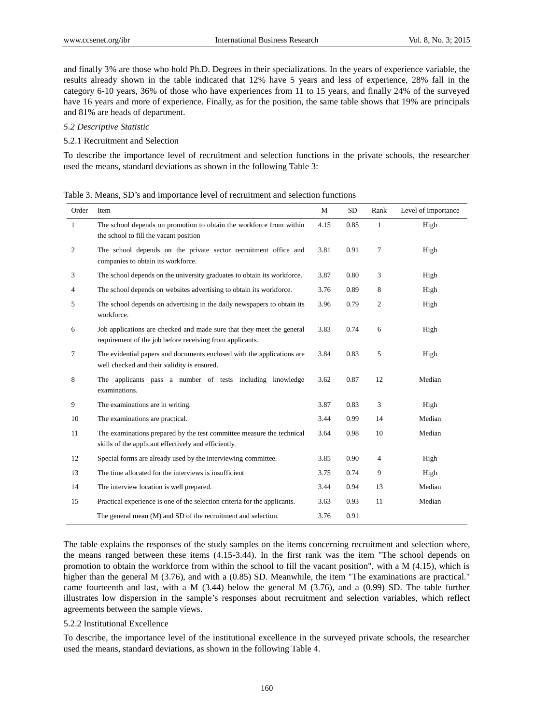and finally 3% are those who hold Ph.D. Degrees in their specializations. In the years of experience variable, the results already shown in the table indicated that 12% have 5 years and less of experience, 28% fall in the category 6-10 years, 36% of those who have experiences from 11 to 15 years, and finally 24% of the surveyed have 16 years and more of experience. Finally, as for the position, the same table shows that 19% are principals and 81% are heads of department.

#### *5.2 Descriptive Statistic*

## 5.2.1 Recruitment and Selection

To describe the importance level of recruitment and selection functions in the private schools, the researcher used the means, standard deviations as shown in the following Table 3:

| Order        | Item                                                                                                                              | M    | SD   | Rank           | Level of Importance |
|--------------|-----------------------------------------------------------------------------------------------------------------------------------|------|------|----------------|---------------------|
| $\mathbf{1}$ | The school depends on promotion to obtain the workforce from within<br>the school to fill the vacant position                     | 4.15 | 0.85 | $\mathbf{1}$   | High                |
| 2            | The school depends on the private sector recruitment office and<br>companies to obtain its workforce.                             | 3.81 | 0.91 | 7              | High                |
| 3            | The school depends on the university graduates to obtain its workforce.                                                           | 3.87 | 0.80 | 3              | High                |
| 4            | The school depends on websites advertising to obtain its workforce.                                                               | 3.76 | 0.89 | 8              | High                |
| 5            | The school depends on advertising in the daily newspapers to obtain its<br>workforce.                                             | 3.96 | 0.79 | $\mathfrak{2}$ | High                |
| 6            | Job applications are checked and made sure that they meet the general<br>requirement of the job before receiving from applicants. | 3.83 | 0.74 | 6              | High                |
| 7            | The evidential papers and documents enclosed with the applications are<br>well checked and their validity is ensured.             | 3.84 | 0.83 | 5              | High                |
| 8            | The applicants pass a number of tests including knowledge<br>examinations.                                                        | 3.62 | 0.87 | 12             | Median              |
| 9            | The examinations are in writing.                                                                                                  | 3.87 | 0.83 | 3              | High                |
| 10           | The examinations are practical.                                                                                                   | 3.44 | 0.99 | 14             | Median              |
| 11           | The examinations prepared by the test committee measure the technical<br>skills of the applicant effectively and efficiently.     | 3.64 | 0.98 | 10             | Median              |
| 12           | Special forms are already used by the interviewing committee.                                                                     | 3.85 | 0.90 | 4              | High                |
| 13           | The time allocated for the interviews is insufficient                                                                             | 3.75 | 0.74 | 9              | High                |
| 14           | The interview location is well prepared.                                                                                          | 3.44 | 0.94 | 13             | Median              |
| 15           | Practical experience is one of the selection criteria for the applicants.                                                         | 3.63 | 0.93 | 11             | Median              |
|              | The general mean (M) and SD of the recruitment and selection.                                                                     | 3.76 | 0.91 |                |                     |

The table explains the responses of the study samples on the items concerning recruitment and selection where, the means ranged between these items (4.15-3.44). In the first rank was the item "The school depends on promotion to obtain the workforce from within the school to fill the vacant position", with a M (4.15), which is higher than the general M (3.76), and with a (0.85) SD. Meanwhile, the item "The examinations are practical." came fourteenth and last, with a M (3.44) below the general M (3.76), and a (0.99) SD. The table further illustrates low dispersion in the sample's responses about recruitment and selection variables, which reflect agreements between the sample views.

#### 5.2.2 Institutional Excellence

To describe, the importance level of the institutional excellence in the surveyed private schools, the researcher used the means, standard deviations, as shown in the following Table 4.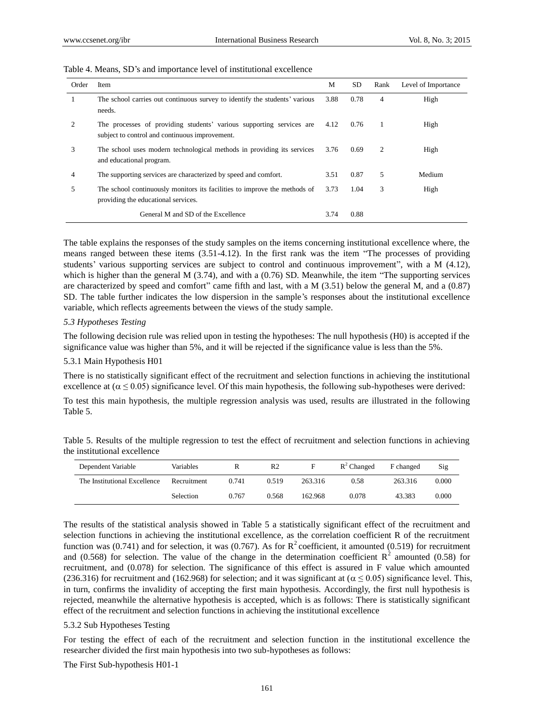| Order | Item                                                                                                                   | M    | <b>SD</b> | Rank | Level of Importance |
|-------|------------------------------------------------------------------------------------------------------------------------|------|-----------|------|---------------------|
|       | The school carries out continuous survey to identify the students' various<br>needs.                                   | 3.88 | 0.78      | 4    | High                |
|       | The processes of providing students' various supporting services are<br>subject to control and continuous improvement. | 4.12 | 0.76      | -1   | High                |
| 3     | The school uses modern technological methods in providing its services<br>and educational program.                     | 3.76 | 0.69      | 2    | High                |
| 4     | The supporting services are characterized by speed and comfort.                                                        | 3.51 | 0.87      | 5    | Medium              |
| 5     | The school continuously monitors its facilities to improve the methods of<br>providing the educational services.       | 3.73 | 1.04      | 3    | High                |
|       | General M and SD of the Excellence                                                                                     | 3.74 | 0.88      |      |                     |

#### Table 4. Means, SD's and importance level of institutional excellence

The table explains the responses of the study samples on the items concerning institutional excellence where, the means ranged between these items (3.51-4.12). In the first rank was the item "The processes of providing students' various supporting services are subject to control and continuous improvement", with a M (4.12), which is higher than the general M (3.74), and with a (0.76) SD. Meanwhile, the item "The supporting services are characterized by speed and comfort" came fifth and last, with a M (3.51) below the general M, and a (0.87) SD. The table further indicates the low dispersion in the sample's responses about the institutional excellence variable, which reflects agreements between the views of the study sample.

### *5.3 Hypotheses Testing*

The following decision rule was relied upon in testing the hypotheses: The null hypothesis (H0) is accepted if the significance value was higher than 5%, and it will be rejected if the significance value is less than the 5%.

#### 5.3.1 Main Hypothesis H01

There is no statistically significant effect of the recruitment and selection functions in achieving the institutional excellence at  $(\alpha \le 0.05)$  significance level. Of this main hypothesis, the following sub-hypotheses were derived:

To test this main hypothesis, the multiple regression analysis was used, results are illustrated in the following Table 5.

| Table 5. Results of the multiple regression to test the effect of recruitment and selection functions in achieving |  |  |  |  |  |
|--------------------------------------------------------------------------------------------------------------------|--|--|--|--|--|
| the institutional excellence                                                                                       |  |  |  |  |  |

| Dependent Variable           | Variables        |       | R <sub>2</sub> | F       | $R^2$ Changed | F changed | Sig   |
|------------------------------|------------------|-------|----------------|---------|---------------|-----------|-------|
| The Institutional Excellence | Recruitment      | 0.741 | 0.519          | 263.316 | 0.58          | 263.316   | 0.000 |
|                              | <b>Selection</b> | 0.767 | 0.568          | 162.968 | 0.078         | 43.383    | 0.000 |

The results of the statistical analysis showed in Table 5 a statistically significant effect of the recruitment and selection functions in achieving the institutional excellence, as the correlation coefficient R of the recruitment function was (0.741) and for selection, it was (0.767). As for  $R^2$  coefficient, it amounted (0.519) for recruitment and (0.568) for selection. The value of the change in the determination coefficient  $\mathbb{R}^2$  amounted (0.58) for recruitment, and (0.078) for selection. The significance of this effect is assured in F value which amounted (236.316) for recruitment and (162.968) for selection; and it was significant at ( $\alpha \le 0.05$ ) significance level. This, in turn, confirms the invalidity of accepting the first main hypothesis. Accordingly, the first null hypothesis is rejected, meanwhile the alternative hypothesis is accepted, which is as follows: There is statistically significant effect of the recruitment and selection functions in achieving the institutional excellence

#### 5.3.2 Sub Hypotheses Testing

For testing the effect of each of the recruitment and selection function in the institutional excellence the researcher divided the first main hypothesis into two sub-hypotheses as follows:

The First Sub-hypothesis H01-1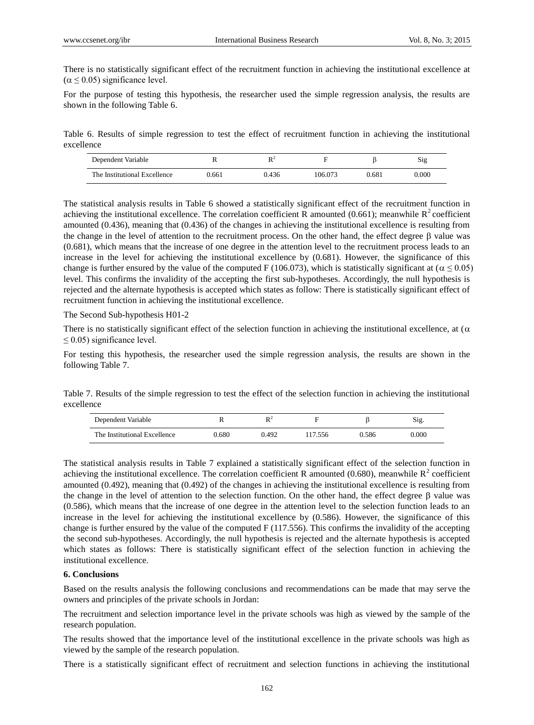There is no statistically significant effect of the recruitment function in achieving the institutional excellence at  $(\alpha \le 0.05)$  significance level.

For the purpose of testing this hypothesis, the researcher used the simple regression analysis, the results are shown in the following Table 6.

Table 6. Results of simple regression to test the effect of recruitment function in achieving the institutional excellence

| Dependent Variable           |       | $\mathbf{D}$ |         |       | Sig       |
|------------------------------|-------|--------------|---------|-------|-----------|
| The Institutional Excellence | 0.661 | 0.436        | 106.073 | 0.681 | $0.000\,$ |

The statistical analysis results in Table 6 showed a statistically significant effect of the recruitment function in achieving the institutional excellence. The correlation coefficient R amounted (0.661); meanwhile  $R^2$  coefficient amounted (0.436), meaning that (0.436) of the changes in achieving the institutional excellence is resulting from the change in the level of attention to the recruitment process. On the other hand, the effect degree  $\beta$  value was (0.681), which means that the increase of one degree in the attention level to the recruitment process leads to an increase in the level for achieving the institutional excellence by (0.681). However, the significance of this change is further ensured by the value of the computed F (106.073), which is statistically significant at ( $\alpha \le 0.05$ ) level. This confirms the invalidity of the accepting the first sub-hypotheses. Accordingly, the null hypothesis is rejected and the alternate hypothesis is accepted which states as follow: There is statistically significant effect of recruitment function in achieving the institutional excellence.

The Second Sub-hypothesis H01-2

There is no statistically significant effect of the selection function in achieving the institutional excellence, at ( $\alpha$ )  $\leq$  0.05) significance level.

For testing this hypothesis, the researcher used the simple regression analysis, the results are shown in the following Table 7.

Table 7. Results of the simple regression to test the effect of the selection function in achieving the institutional excellence

| Dependent Variable           |       | D.Z   |        |       | Sig.  |
|------------------------------|-------|-------|--------|-------|-------|
| The Institutional Excellence | 0.680 | 0.492 | 17.556 | 0.586 | 0.000 |

The statistical analysis results in Table 7 explained a statistically significant effect of the selection function in achieving the institutional excellence. The correlation coefficient R amounted (0.680), meanwhile  $R^2$  coefficient amounted (0.492), meaning that (0.492) of the changes in achieving the institutional excellence is resulting from the change in the level of attention to the selection function. On the other hand, the effect degree  $\beta$  value was (0.586), which means that the increase of one degree in the attention level to the selection function leads to an increase in the level for achieving the institutional excellence by (0.586). However, the significance of this change is further ensured by the value of the computed F (117.556). This confirms the invalidity of the accepting the second sub-hypotheses. Accordingly, the null hypothesis is rejected and the alternate hypothesis is accepted which states as follows: There is statistically significant effect of the selection function in achieving the institutional excellence.

#### **6. Conclusions**

Based on the results analysis the following conclusions and recommendations can be made that may serve the owners and principles of the private schools in Jordan:

The recruitment and selection importance level in the private schools was high as viewed by the sample of the research population.

The results showed that the importance level of the institutional excellence in the private schools was high as viewed by the sample of the research population.

There is a statistically significant effect of recruitment and selection functions in achieving the institutional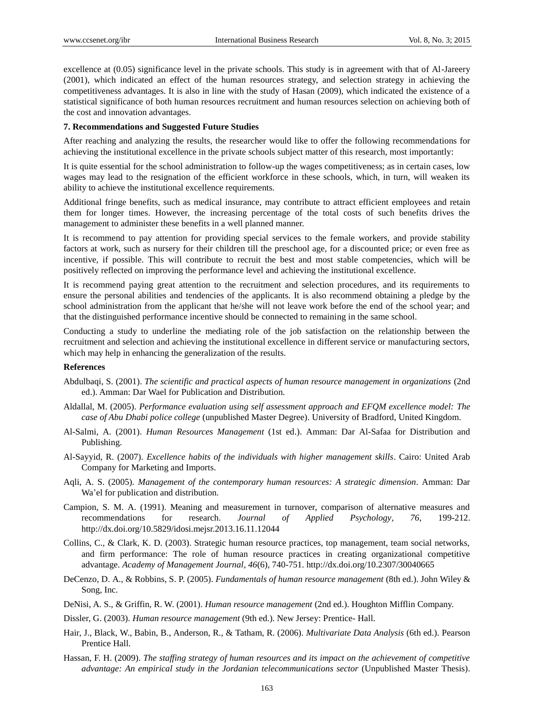excellence at (0.05) significance level in the private schools. This study is in agreement with that of Al-Jareery (2001), which indicated an effect of the human resources strategy, and selection strategy in achieving the competitiveness advantages. It is also in line with the study of Hasan (2009), which indicated the existence of a statistical significance of both human resources recruitment and human resources selection on achieving both of the cost and innovation advantages.

#### **7. Recommendations and Suggested Future Studies**

After reaching and analyzing the results, the researcher would like to offer the following recommendations for achieving the institutional excellence in the private schools subject matter of this research, most importantly:

It is quite essential for the school administration to follow-up the wages competitiveness; as in certain cases, low wages may lead to the resignation of the efficient workforce in these schools, which, in turn, will weaken its ability to achieve the institutional excellence requirements.

Additional fringe benefits, such as medical insurance, may contribute to attract efficient employees and retain them for longer times. However, the increasing percentage of the total costs of such benefits drives the management to administer these benefits in a well planned manner.

It is recommend to pay attention for providing special services to the female workers, and provide stability factors at work, such as nursery for their children till the preschool age, for a discounted price; or even free as incentive, if possible. This will contribute to recruit the best and most stable competencies, which will be positively reflected on improving the performance level and achieving the institutional excellence.

It is recommend paying great attention to the recruitment and selection procedures, and its requirements to ensure the personal abilities and tendencies of the applicants. It is also recommend obtaining a pledge by the school administration from the applicant that he/she will not leave work before the end of the school year; and that the distinguished performance incentive should be connected to remaining in the same school.

Conducting a study to underline the mediating role of the job satisfaction on the relationship between the recruitment and selection and achieving the institutional excellence in different service or manufacturing sectors, which may help in enhancing the generalization of the results.

### **References**

- Abdulbaqi, S. (2001). *The scientific and practical aspects of human resource management in organizations* (2nd ed.). Amman: Dar Wael for Publication and Distribution.
- Aldallal, M. (2005). *Performance evaluation using self assessment approach and EFQM excellence model: The case of Abu Dhabi police college* (unpublished Master Degree). University of Bradford, United Kingdom.
- Al-Salmi, A. (2001). *Human Resources Management* (1st ed.). Amman: Dar Al-Safaa for Distribution and Publishing.
- Al-Sayyid, R. (2007). *Excellence habits of the individuals with higher management skills*. Cairo: United Arab Company for Marketing and Imports.
- Aqli, A. S. (2005). *Management of the contemporary human resources: A strategic dimension*. Amman: Dar Wa'el for publication and distribution.
- Campion, S. M. A. (1991). Meaning and measurement in turnover, comparison of alternative measures and recommendations for research. *Journal of Applied Psychology, 76*, 199-212. <http://dx.doi.org/10.5829/idosi.mejsr.2013.16.11.12044>
- Collins, C., & Clark, K. D. (2003). Strategic human resource practices, top management, team social networks, and firm performance: The role of human resource practices in creating organizational competitive advantage. *Academy of Management Journal, 46*(6), 740-751. http://dx.doi.org/10.2307/30040665
- DeCenzo, D. A., & Robbins, S. P. (2005). *Fundamentals of human resource management* (8th ed.). John Wiley & Song, Inc.
- DeNisi, A. S., & Griffin, R. W. (2001). *Human resource management* (2nd ed.). Houghton Mifflin Company.
- Dissler, G. (2003). *Human resource management* (9th ed.). New Jersey: Prentice- Hall.
- Hair, J., Black, W., Babin, B., Anderson, R., & Tatham, R. (2006). *Multivariate Data Analysis* (6th ed.). Pearson Prentice Hall.
- Hassan, F. H. (2009). *The staffing strategy of human resources and its impact on the achievement of competitive advantage: An empirical study in the Jordanian telecommunications sector* (Unpublished Master Thesis).